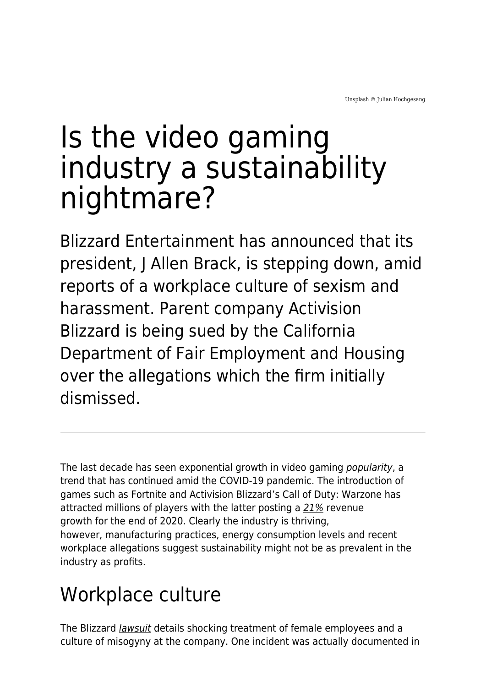# Is the video gaming industry a sustainability nightmare?

Blizzard Entertainment has announced that its president, J Allen Brack, is stepping down, amid reports of a workplace culture of sexism and harassment. Parent company Activision Blizzard is being sued by the California Department of Fair Employment and Housing over the allegations which the firm initially dismissed.

The last decade has seen exponential growth in video gaming *[popularity](https://www.marketwatch.com/story/videogames-are-a-bigger-industry-than-sports-and-movies-combined-thanks-to-the-pandemic-11608654990)*, a trend that has continued amid the COVID-19 pandemic. The introduction of games such as Fortnite and Activision Blizzard's Call of Duty: Warzone has attracted millions of players with the latter posting a [21%](https://venturebeat.com/2021/02/04/activision-blizzard-beats-expectations-as-q4-revenue-grows-21-to-2-41-billion/) revenue growth for the end of 2020. Clearly the industry is thriving, however, manufacturing practices, energy consumption levels and recent workplace allegations suggest sustainability might not be as prevalent in the industry as profits.

## Workplace culture

The Blizzard *[lawsuit](https://news.bloomberglaw.com/daily-labor-report/activision-blizzard-sued-by-california-over-frat-boy-culture)* details shocking treatment of female employees and a culture of misogyny at the company. One incident was actually documented in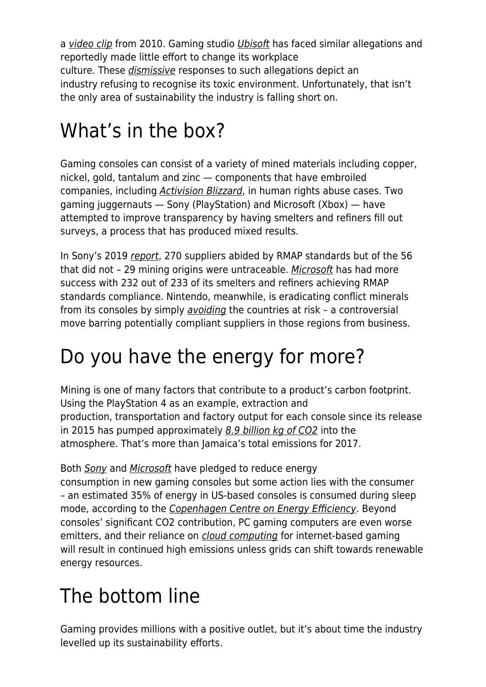a [video clip](https://www.youtube.com/watch?v=EcqY40Kx2RY) from 2010. Gaming studio [Ubisoft](https://www.gamesindustry.biz/articles/2021-05-18-ubisoft-has-reportedly-made-minimal-changes-following-abuse-allegations) has faced similar allegations and reportedly made little effort to change its workplace culture. These [dismissive](https://www.siliconrepublic.com/companies/activision-blizzard-protest) responses to such allegations depict an industry refusing to recognise its toxic environment. Unfortunately, that isn't the only area of sustainability the industry is falling short on.

## What's in the box?

Gaming consoles can consist of a variety of mined materials including copper, nickel, gold, tantalum and zinc — components that have embroiled companies, including [Activision Blizzard](https://www.gamesindustry.biz/articles/2015-06-02-activision-blizzard-improves-conflict-minerals-sourcing), in human rights abuse cases. Two gaming juggernauts — Sony (PlayStation) and Microsoft (Xbox) — have attempted to improve transparency by having smelters and refiners fill out surveys, a process that has produced mixed results.

In Sony's 2019 [report](https://www.sony.com/en/SonyInfo/IR/library/ConflictMineralsReport2019.pdf), 270 suppliers abided by RMAP standards but of the 56 that did not – 29 mining origins were untraceable. [Microsoft](https://www.microsoft.com/en-us/corporate-responsibility/responsible-sourcing) has had more success with 232 out of 233 of its smelters and refiners achieving RMAP standards compliance. Nintendo, meanwhile, is eradicating conflict minerals from its consoles by simply [avoiding](https://www.nintendolife.com/news/2021/07/nintendos_record_on_conflict_minerals_is_praised_but_with_an_important_catch) the countries at risk – a controversial move barring potentially compliant suppliers in those regions from business.

## Do you have the energy for more?

Mining is one of many factors that contribute to a product's carbon footprint. Using the PlayStation 4 as an example, extraction and production, transportation and factory output for each console since its release in 2015 has pumped approximately [8.9 billion kg of CO2](https://www.theverge.com/2019/12/5/20985330/ps4-sony-playstation-environmental-impact-carbon-footprint-manufacturing-25-anniversary) into the atmosphere. That's more than Jamaica's total emissions for 2017.

Both [Sony](https://app.curationcorp.com/story/0C164FDA-8595-4F02-9C7D-1AD658848280) and [Microsoft](https://app.curationcorp.com/story/B6D18B9C-1816-4911-96F8-EC48ED0C35B3) have pledged to reduce energy consumption in new gaming consoles but some action lies with the consumer – an estimated 35% of energy in US-based consoles is consumed during sleep mode, according to the [Copenhagen Centre on Energy Efficiency](https://c2e2.unepdtu.org/wp-content/uploads/sites/3/2020/10/reducing-the-energy-use-of-video-gaming-energy-efficiency-and-gamification-en.pdf). Beyond consoles' significant CO2 contribution, PC gaming computers are even worse emitters, and their reliance on *[cloud computing](https://www.polygon.com/features/2020/10/14/21449158/cloud-gaming-ps-now-geforce-project-xcloud-environmental-impact)* for internet-based gaming will result in continued high emissions unless grids can shift towards renewable energy resources.

## The bottom line

Gaming provides millions with a positive outlet, but it's about time the industry levelled up its sustainability efforts.